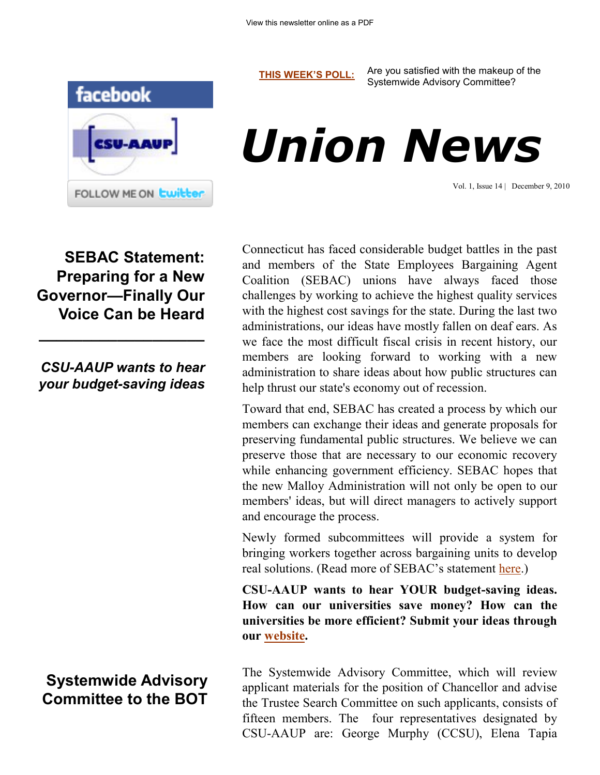**[THIS WEEK'S POLL:](http://www.csuaaup.org/)** Are you satisfied with the makeup of the Systemwide Advisory Committee?





Vol. 1, Issue 14 | December 9, 2010

**SEBAC Statement: Preparing for a New Governor—Finally Our Voice Can be Heard**

*CSU-AAUP wants to hear your budget-saving ideas*

**\_\_\_\_\_\_\_\_\_\_\_\_\_\_\_\_\_\_\_**

**Systemwide Advisory Committee to the BOT** Connecticut has faced considerable budget battles in the past and members of the State Employees Bargaining Agent Coalition (SEBAC) unions have always faced those challenges by working to achieve the highest quality services with the highest cost savings for the state. During the last two administrations, our ideas have mostly fallen on deaf ears. As we face the most difficult fiscal crisis in recent history, our members are looking forward to working with a new administration to share ideas about how public structures can help thrust our state's economy out of recession.

Toward that end, SEBAC has created a process by which our members can exchange their ideas and generate proposals for preserving fundamental public structures. We believe we can preserve those that are necessary to our economic recovery while enhancing government efficiency. SEBAC hopes that the new Malloy Administration will not only be open to our members' ideas, but will direct managers to actively support and encourage the process.

Newly formed subcommittees will provide a system for bringing workers together across bargaining units to develop real solutions. (Read more of SEBAC's statement [here.\)](http://www.csuaaup.org/wp-content/uploads/2010/12/SEBAC-GOV-TRNS-STMNT.pdf)

**CSU-AAUP wants to hear YOUR budget-saving ideas. How can our universities save money? How can the universities be more efficient? Submit your ideas through our [website.](http://www.csuaaup.org/economic-crisis/)** 

The Systemwide Advisory Committee, which will review applicant materials for the position of Chancellor and advise the Trustee Search Committee on such applicants, consists of fifteen members. The four representatives designated by CSU-AAUP are: George Murphy (CCSU), Elena Tapia